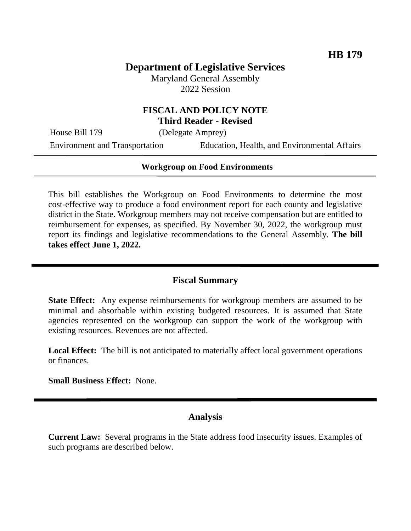# **Department of Legislative Services**

Maryland General Assembly 2022 Session

## **FISCAL AND POLICY NOTE Third Reader - Revised**

House Bill 179 (Delegate Amprey)

Environment and Transportation Education, Health, and Environmental Affairs

# **Workgroup on Food Environments**

This bill establishes the Workgroup on Food Environments to determine the most cost-effective way to produce a food environment report for each county and legislative district in the State. Workgroup members may not receive compensation but are entitled to reimbursement for expenses, as specified. By November 30, 2022, the workgroup must report its findings and legislative recommendations to the General Assembly. **The bill takes effect June 1, 2022.**

## **Fiscal Summary**

**State Effect:** Any expense reimbursements for workgroup members are assumed to be minimal and absorbable within existing budgeted resources. It is assumed that State agencies represented on the workgroup can support the work of the workgroup with existing resources. Revenues are not affected.

**Local Effect:** The bill is not anticipated to materially affect local government operations or finances.

**Small Business Effect:** None.

## **Analysis**

**Current Law:** Several programs in the State address food insecurity issues. Examples of such programs are described below.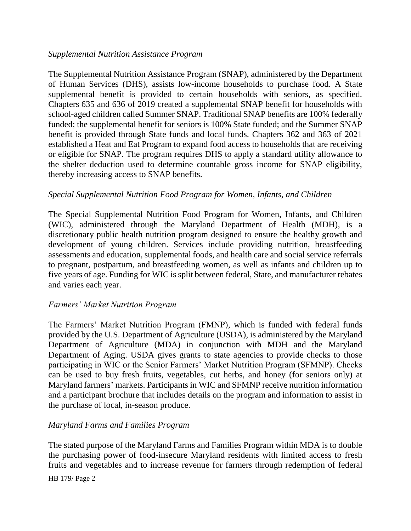### *Supplemental Nutrition Assistance Program*

The Supplemental Nutrition Assistance Program (SNAP), administered by the Department of Human Services (DHS), assists low-income households to purchase food. A State supplemental benefit is provided to certain households with seniors, as specified. Chapters 635 and 636 of 2019 created a supplemental SNAP benefit for households with school-aged children called Summer SNAP. Traditional SNAP benefits are 100% federally funded; the supplemental benefit for seniors is 100% State funded; and the Summer SNAP benefit is provided through State funds and local funds. Chapters 362 and 363 of 2021 established a Heat and Eat Program to expand food access to households that are receiving or eligible for SNAP. The program requires DHS to apply a standard utility allowance to the shelter deduction used to determine countable gross income for SNAP eligibility, thereby increasing access to SNAP benefits.

### *Special Supplemental Nutrition Food Program for Women, Infants, and Children*

The Special Supplemental Nutrition Food Program for Women, Infants, and Children (WIC), administered through the Maryland Department of Health (MDH), is a discretionary public health nutrition program designed to ensure the healthy growth and development of young children. Services include providing nutrition, breastfeeding assessments and education, supplemental foods, and health care and social service referrals to pregnant, postpartum, and breastfeeding women, as well as infants and children up to five years of age. Funding for WIC is split between federal, State, and manufacturer rebates and varies each year.

#### *Farmers' Market Nutrition Program*

The Farmers' Market Nutrition Program (FMNP), which is funded with federal funds provided by the U.S. Department of Agriculture (USDA), is administered by the Maryland Department of Agriculture (MDA) in conjunction with MDH and the Maryland Department of Aging. USDA gives grants to state agencies to provide checks to those participating in WIC or the Senior Farmers' Market Nutrition Program (SFMNP). Checks can be used to buy fresh fruits, vegetables, cut herbs, and honey (for seniors only) at Maryland farmers' markets. Participants in WIC and SFMNP receive nutrition information and a participant brochure that includes details on the program and information to assist in the purchase of local, in-season produce.

#### *Maryland Farms and Families Program*

The stated purpose of the Maryland Farms and Families Program within MDA is to double the purchasing power of food-insecure Maryland residents with limited access to fresh fruits and vegetables and to increase revenue for farmers through redemption of federal

HB 179/ Page 2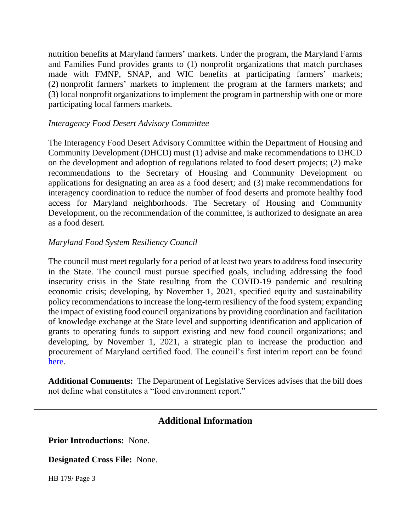nutrition benefits at Maryland farmers' markets. Under the program, the Maryland Farms and Families Fund provides grants to (1) nonprofit organizations that match purchases made with FMNP, SNAP, and WIC benefits at participating farmers' markets; (2) nonprofit farmers' markets to implement the program at the farmers markets; and (3) local nonprofit organizations to implement the program in partnership with one or more participating local farmers markets.

### *Interagency Food Desert Advisory Committee*

The Interagency Food Desert Advisory Committee within the Department of Housing and Community Development (DHCD) must (1) advise and make recommendations to DHCD on the development and adoption of regulations related to food desert projects; (2) make recommendations to the Secretary of Housing and Community Development on applications for designating an area as a food desert; and (3) make recommendations for interagency coordination to reduce the number of food deserts and promote healthy food access for Maryland neighborhoods. The Secretary of Housing and Community Development, on the recommendation of the committee, is authorized to designate an area as a food desert.

### *Maryland Food System Resiliency Council*

The council must meet regularly for a period of at least two years to address food insecurity in the State. The council must pursue specified goals, including addressing the food insecurity crisis in the State resulting from the COVID-19 pandemic and resulting economic crisis; developing, by November 1, 2021, specified equity and sustainability policy recommendations to increase the long-term resiliency of the food system; expanding the impact of existing food council organizations by providing coordination and facilitation of knowledge exchange at the State level and supporting identification and application of grants to operating funds to support existing and new food council organizations; and developing, by November 1, 2021, a strategic plan to increase the production and procurement of Maryland certified food. The council's first interim report can be found [here.](http://dlslibrary.state.md.us/publications/Exec/MDEM/PS14-1103(c)(1)_2021(rev).pdf)

**Additional Comments:** The Department of Legislative Services advises that the bill does not define what constitutes a "food environment report."

## **Additional Information**

**Prior Introductions:** None.

**Designated Cross File:** None.

HB 179/ Page 3